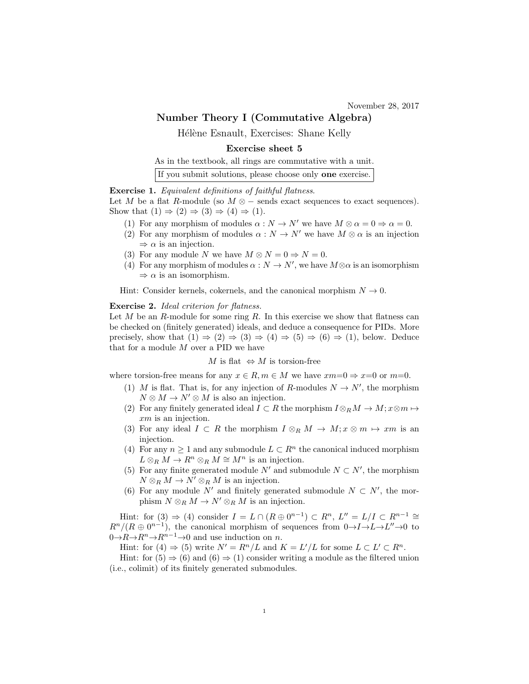November 28, 2017

# Number Theory I (Commutative Algebra)

Hélène Esnault, Exercises: Shane Kelly

## Exercise sheet 5

| As in the textbook, all rings are commutative with a unit. |  |
|------------------------------------------------------------|--|
| If you submit solutions, please choose only one exercise.  |  |

## Exercise 1. Equivalent definitions of faithful flatness.

Let M be a flat R-module (so  $M \otimes -$  sends exact sequences to exact sequences). Show that  $(1) \Rightarrow (2) \Rightarrow (3) \Rightarrow (4) \Rightarrow (1)$ .

- (1) For any morphism of modules  $\alpha : N \to N'$  we have  $M \otimes \alpha = 0 \Rightarrow \alpha = 0$ .
- (2) For any morphism of modules  $\alpha : N \to N'$  we have  $M \otimes \alpha$  is an injection  $\Rightarrow \alpha$  is an injection.
- (3) For any module N we have  $M \otimes N = 0 \Rightarrow N = 0$ .
- (4) For any morphism of modules  $\alpha : N \to N'$ , we have  $M \otimes \alpha$  is an isomorphism  $\Rightarrow \alpha$  is an isomorphism.

Hint: Consider kernels, cokernels, and the canonical morphism  $N \to 0$ .

### Exercise 2. Ideal criterion for flatness.

Let  $M$  be an R-module for some ring  $R$ . In this exercise we show that flatness can be checked on (finitely generated) ideals, and deduce a consequence for PIDs. More precisely, show that  $(1) \Rightarrow (2) \Rightarrow (3) \Rightarrow (4) \Rightarrow (5) \Rightarrow (6) \Rightarrow (1)$ , below. Deduce that for a module M over a PID we have

## M is flat  $\Leftrightarrow M$  is torsion-free

where torsion-free means for any  $x \in R, m \in M$  we have  $xm=0 \Rightarrow x=0$  or  $m=0$ .

- (1) M is flat. That is, for any injection of R-modules  $N \to N'$ , the morphism  $N \otimes M \to N' \otimes M$  is also an injection.
- (2) For any finitely generated ideal  $I \subset R$  the morphism  $I \otimes_R M \to M; x \otimes m \mapsto$ xm is an injection.
- (3) For any ideal  $I \subset R$  the morphism  $I \otimes_R M \to M; x \otimes m \mapsto xm$  is an injection.
- (4) For any  $n \geq 1$  and any submodule  $L \subset R^n$  the canonical induced morphism  $L \otimes_R M \to R^n \otimes_R M \cong M^n$  is an injection.
- (5) For any finite generated module  $N'$  and submodule  $N \subset N'$ , the morphism  $N \otimes_R M \to N' \otimes_R M$  is an injection.
- (6) For any module N' and finitely generated submodule  $N \subset N'$ , the morphism  $N \otimes_R M \to N' \otimes_R M$  is an injection.

Hint: for  $(3) \Rightarrow (4)$  consider  $I = L \cap (R \oplus 0^{n-1}) \subset R^n$ ,  $L'' = L/I \subset R^{n-1} \cong$  $R^n/(R \oplus 0^{n-1})$ , the canonical morphism of sequences from  $0 \rightarrow I \rightarrow L \rightarrow L'' \rightarrow 0$  to  $0 \rightarrow R \rightarrow R^n \rightarrow R^{n-1} \rightarrow 0$  and use induction on n.

Hint: for (4)  $\Rightarrow$  (5) write  $N' = R^n/L$  and  $K = L'/L$  for some  $L \subset L' \subset R^n$ .

Hint: for  $(5) \Rightarrow (6)$  and  $(6) \Rightarrow (1)$  consider writing a module as the filtered union (i.e., colimit) of its finitely generated submodules.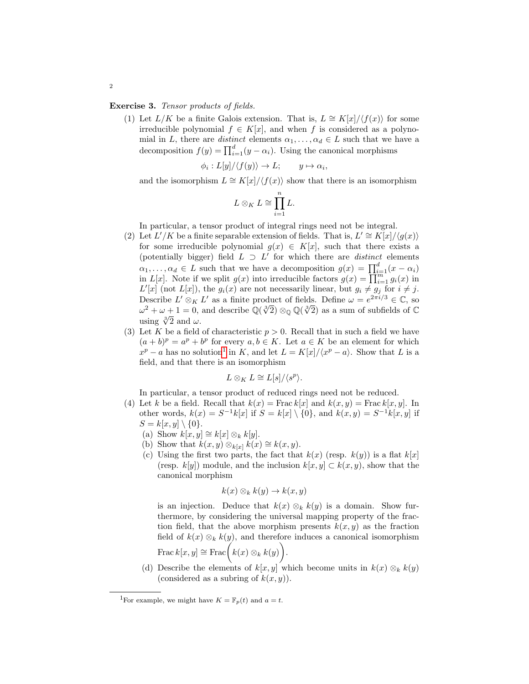Exercise 3. Tensor products of fields.

(1) Let  $L/K$  be a finite Galois extension. That is,  $L \cong K[x]/\langle f(x) \rangle$  for some irreducible polynomial  $f \in K[x]$ , and when f is considered as a polynomial in L, there are *distinct* elements  $\alpha_1, \ldots, \alpha_d \in L$  such that we have a decomposition  $f(y) = \prod_{i=1}^{d} (y - \alpha_i)$ . Using the canonical morphisms

$$
\phi_i: L[y]/\langle f(y)\rangle \to L; \qquad y \mapsto \alpha_i,
$$

and the isomorphism  $L \cong K[x]/\langle f(x) \rangle$  show that there is an isomorphism

$$
L\otimes_K L\cong \prod_{i=1}^n L.
$$

In particular, a tensor product of integral rings need not be integral.

- (2) Let  $L'/K$  be a finite separable extension of fields. That is,  $L' \cong K[x]/\langle g(x) \rangle$ for some irreducible polynomial  $g(x) \in K[x]$ , such that there exists a (potentially bigger) field  $L \supset L'$  for which there are *distinct* elements  $\alpha_1, \ldots, \alpha_d \in L$  such that we have a decomposition  $g(x) = \prod_{i=1}^d (x - \alpha_i)$ in  $L[x]$ . Note if we split  $g(x)$  into irreducible factors  $g(x) = \prod_{i=1}^{n} g_i(x)$  in  $L'[x]$  (not  $L[x]$ ), the  $g_i(x)$  are not necessarily linear, but  $g_i \neq g_j$  for  $i \neq j$ . Describe  $L' \otimes_K L'$  as a finite product of fields. Define  $\omega = e^{2\pi i/3} \in \mathbb{C}$ , so Describe  $L' \otimes_K L'$  as a finite product of fields. Define  $\omega = e^{-\alpha \cdot \cdot / \sigma} \in \mathbb{C}$ , so  $\omega^2 + \omega + 1 = 0$ , and describe  $\mathbb{Q}(\sqrt[3]{2}) \otimes_{\mathbb{Q}} \mathbb{Q}(\sqrt[3]{2})$  as a sum of subfields of  $\mathbb{C}$  $\omega + \omega + 1 = 0,$ <br>using  $\sqrt[3]{2}$  and  $\omega$ .
- (3) Let K be a field of characteristic  $p > 0$ . Recall that in such a field we have  $(a + b)^p = a^p + b^p$  for every  $a, b \in K$ . Let  $a \in K$  be an element for which  $x^p - a$  has no solution<sup>[1](#page-1-0)</sup> in K, and let  $L = K[x]/\langle x^p - a \rangle$ . Show that L is a field, and that there is an isomorphism

$$
L \otimes_K L \cong L[s]/\langle s^p \rangle.
$$

In particular, a tensor product of reduced rings need not be reduced.

- (4) Let k be a field. Recall that  $k(x) = Frack[x]$  and  $k(x, y) = Frack[x, y]$ . In other words,  $k(x) = S^{-1}k[x]$  if  $S = k[x] \setminus \{0\}$ , and  $k(x, y) = S^{-1}k[x, y]$  if  $S = k[x, y] \setminus \{0\}.$ 
	- (a) Show  $k[x, y] \cong k[x] \otimes_k k[y]$ .
	- (b) Show that  $k(x, y) \otimes_{k[x]} k(x) \cong k(x, y)$ .
	- (c) Using the first two parts, the fact that  $k(x)$  (resp.  $k(y)$ ) is a flat  $k[x]$ (resp. k[y]) module, and the inclusion  $k[x, y] \subset k(x, y)$ , show that the canonical morphism

$$
k(x) \otimes_k k(y) \to k(x, y)
$$

is an injection. Deduce that  $k(x) \otimes_k k(y)$  is a domain. Show furthermore, by considering the universal mapping property of the fraction field, that the above morphism presents  $k(x, y)$  as the fraction field of  $k(x) \otimes_k k(y)$ , and therefore induces a canonical isomorphism

Frac  $k[x, y] \cong Frac\left(k(x) \otimes_k k(y)\right)$ .

(d) Describe the elements of  $k[x, y]$  which become units in  $k(x) \otimes_k k(y)$ (considered as a subring of  $k(x, y)$ ).

<span id="page-1-0"></span><sup>&</sup>lt;sup>1</sup>For example, we might have  $K = \mathbb{F}_p(t)$  and  $a = t$ .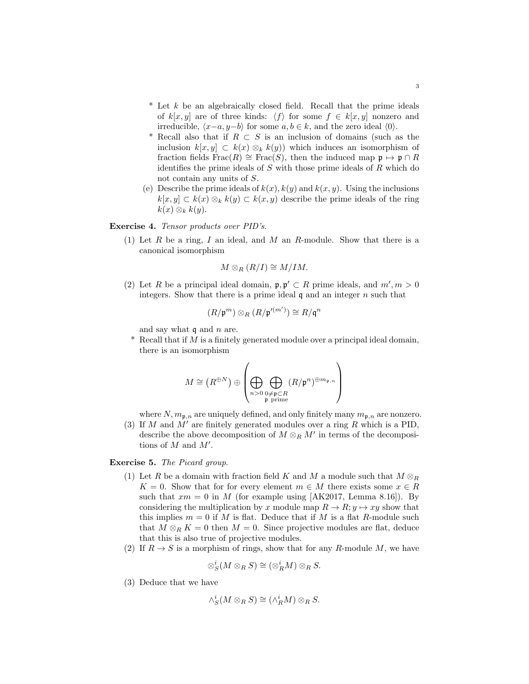- $*$  Let k be an algebraically closed field. Recall that the prime ideals of  $k[x, y]$  are of three kinds:  $\langle f \rangle$  for some  $f \in k[x, y]$  nonzero and irreducible,  $\langle x-a, y-b \rangle$  for some  $a, b \in k$ , and the zero ideal  $\langle 0 \rangle$ .
- \* Recall also that if  $R \subset S$  is an inclusion of domains (such as the inclusion  $k[x, y] \subset k(x) \otimes_k k(y)$  which induces an isomorphism of fraction fields Frac $(R) \cong Frac(S)$ , then the induced map  $\mathfrak{p} \mapsto \mathfrak{p} \cap R$ identifies the prime ideals of  $S$  with those prime ideals of  $R$  which do not contain any units of S.
- (e) Describe the prime ideals of  $k(x)$ ,  $k(y)$  and  $k(x, y)$ . Using the inclusions  $k[x, y] \subset k(x) \otimes_k k(y) \subset k(x, y)$  describe the prime ideals of the ring  $k(x) \otimes_k k(y)$ .

#### Exercise 4. Tensor products over PID's.

(1) Let  $R$  be a ring,  $I$  an ideal, and  $M$  an  $R$ -module. Show that there is a canonical isomorphism

$$
M\otimes_R (R/I)\cong M/IM.
$$

(2) Let R be a principal ideal domain,  $\mathfrak{p}, \mathfrak{p}' \subset R$  prime ideals, and  $m', m > 0$ integers. Show that there is a prime ideal  $\mathfrak q$  and an integer  $n$  such that

$$
(R/\mathfrak{p}^m)\otimes_R (R/\mathfrak{p}'^{(m')})\cong R/\mathfrak{q}^n
$$

and say what  $\mathfrak q$  and  $n$  are.

 $*$  Recall that if M is a finitely generated module over a principal ideal domain, there is an isomorphism

$$
M \cong \left(R^{\oplus N}\right) \oplus \left(\bigoplus_{\substack{n > 0 \text{ } \neq \mathfrak{p} \subset R \\ \mathfrak{p} \text{ prime}}} \left(R/\mathfrak{p}^n\right)^{\oplus m_{\mathfrak{p},n}}\right)
$$

where  $N, m_{\mathfrak{p},n}$  are uniquely defined, and only finitely many  $m_{\mathfrak{p},n}$  are nonzero.

(3) If M and  $M'$  are finitely generated modules over a ring R which is a PID, describe the above decomposition of  $M \otimes_R M'$  in terms of the decompositions of  $M$  and  $M'$ .

### Exercise 5. The Picard group.

- (1) Let R be a domain with fraction field K and M a module such that  $M \otimes_R R$  $K = 0$ . Show that for for every element  $m \in M$  there exists some  $x \in R$ such that  $xm = 0$  in M (for example using [AK2017, Lemma 8.16]). By considering the multiplication by x module map  $R \to R$ ;  $y \mapsto xy$  show that this implies  $m = 0$  if M is flat. Deduce that if M is a flat R-module such that  $M \otimes_R K = 0$  then  $M = 0$ . Since projective modules are flat, deduce that this is also true of projective modules.
- (2) If  $R \to S$  is a morphism of rings, show that for any R-module M, we have

$$
\otimes^i_S(M\otimes_R S)\cong (\otimes^i_R M)\otimes_R S.
$$

(3) Deduce that we have

$$
\wedge^i_S(M\otimes_R S)\cong(\wedge^i_R M)\otimes_R S.
$$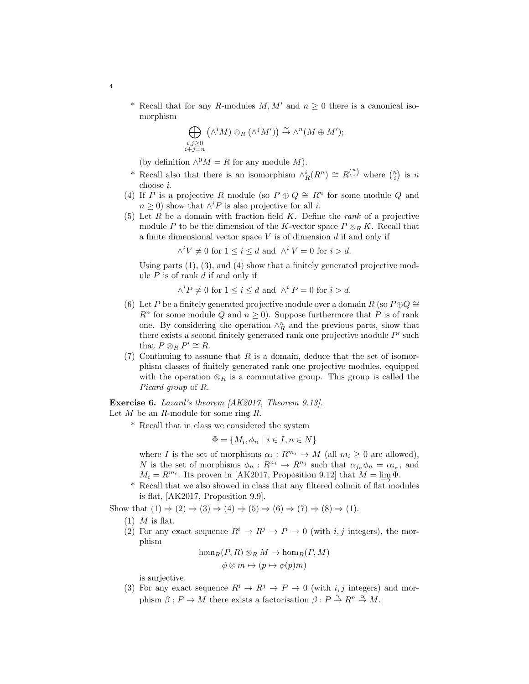\* Recall that for any R-modules M, M' and  $n \geq 0$  there is a canonical isomorphism

$$
\bigoplus_{\substack{i,j\geq 0\\i+j=n}} \left(\wedge^i M\right)\otimes_R \left(\wedge^j M'\right)\right) \stackrel{\sim}{\to} \wedge^n (M\oplus M');
$$

(by definition  $\wedge^0 M = R$  for any module M).

- \* Recall also that there is an isomorphism  $\wedge_R^i(R^n) \cong R^{\binom{n}{i}}$  where  $\binom{n}{i}$  is n choose i.
- (4) If P is a projective R module (so  $P \oplus Q \cong R^n$  for some module Q and  $n \geq 0$ ) show that  $\wedge^i P$  is also projective for all *i*.
- (5) Let R be a domain with fraction field K. Define the rank of a projective module P to be the dimension of the K-vector space  $P \otimes_R K$ . Recall that a finite dimensional vector space  $V$  is of dimension  $d$  if and only if

 $\wedge^i V \neq 0$  for  $1 \leq i \leq d$  and  $\wedge^i V = 0$  for  $i > d$ .

Using parts  $(1)$ ,  $(3)$ , and  $(4)$  show that a finitely generated projective module  $P$  is of rank  $d$  if and only if

 $\wedge^i P \neq 0$  for  $1 \leq i \leq d$  and  $\wedge^i P = 0$  for  $i > d$ .

- (6) Let P be a finitely generated projective module over a domain R (so  $P \oplus Q \cong$  $R^n$  for some module Q and  $n \geq 0$ ). Suppose furthermore that P is of rank one. By considering the operation  $\wedge_R^n$  and the previous parts, show that there exists a second finitely generated rank one projective module  $P'$  such that  $P \otimes_R P' \cong R$ .
- (7) Continuing to assume that  $R$  is a domain, deduce that the set of isomorphism classes of finitely generated rank one projective modules, equipped with the operation  $\otimes_R$  is a commutative group. This group is called the Picard group of R.

Exercise 6. Lazard's theorem [AK2017, Theorem 9.13].

Let  $M$  be an  $R$ -module for some ring  $R$ .

\* Recall that in class we considered the system

$$
\Phi = \{M_i, \phi_n \mid i \in I, n \in N\}
$$

where I is the set of morphisms  $\alpha_i : R^{m_i} \to M$  (all  $m_i \geq 0$  are allowed), N is the set of morphisms  $\phi_n: R^{n_i} \to R^{n_j}$  such that  $\alpha_{j_n} \phi_n = \alpha_{i_n}$ , and  $M_i = R^{m_i}$ . Its proven in [AK2017, Proposition 9.12] that  $M = \lim_{h \to 0} \Phi$ .

 $m_i = n \rightarrow$ . Its proven in [AR2017, 1 roposition 9.12] that  $m = \frac{m_i \cdot \mu}{n_i}$ .<br>\* Recall that we also showed in class that any filtered colimit of flat modules is flat, [AK2017, Proposition 9.9].

Show that  $(1) \Rightarrow (2) \Rightarrow (3) \Rightarrow (4) \Rightarrow (5) \Rightarrow (6) \Rightarrow (7) \Rightarrow (8) \Rightarrow (1)$ .

 $(1)$  *M* is flat.

4

(2) For any exact sequence  $R^i \to R^j \to P \to 0$  (with i, j integers), the morphism

$$
\hom_R(P, R) \otimes_R M \to \hom_R(P, M)
$$
  

$$
\phi \otimes m \mapsto (p \mapsto \phi(p)m)
$$

is surjective.

(3) For any exact sequence  $R^i \to R^j \to P \to 0$  (with i, j integers) and morphism  $\beta: P \to M$  there exists a factorisation  $\beta: P \stackrel{\gamma}{\to} R^n \stackrel{\alpha}{\to} M$ .